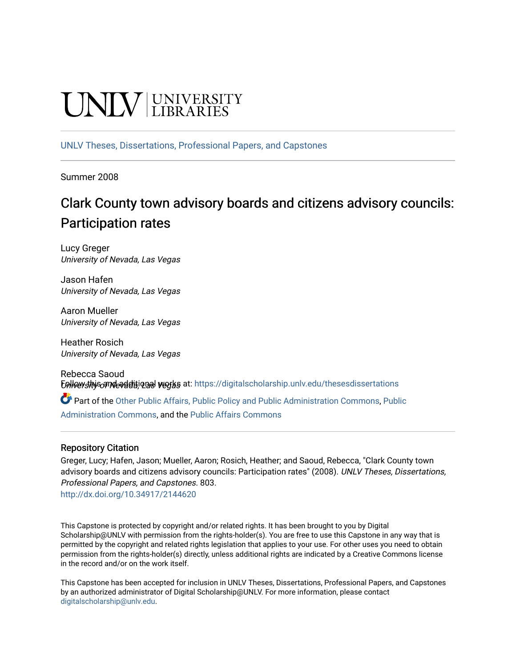# UNIV UNIVERSITY

[UNLV Theses, Dissertations, Professional Papers, and Capstones](https://digitalscholarship.unlv.edu/thesesdissertations)

Summer 2008

# Clark County town advisory boards and citizens advisory councils: Participation rates

Lucy Greger University of Nevada, Las Vegas

Jason Hafen University of Nevada, Las Vegas

Aaron Mueller University of Nevada, Las Vegas

Heather Rosich University of Nevada, Las Vegas

Rebecca Saoud Eplice with is and evaluations waters at: [https://digitalscholarship.unlv.edu/thesesdissertations](https://digitalscholarship.unlv.edu/thesesdissertations?utm_source=digitalscholarship.unlv.edu%2Fthesesdissertations%2F803&utm_medium=PDF&utm_campaign=PDFCoverPages)

Part of the [Other Public Affairs, Public Policy and Public Administration Commons,](http://network.bepress.com/hgg/discipline/403?utm_source=digitalscholarship.unlv.edu%2Fthesesdissertations%2F803&utm_medium=PDF&utm_campaign=PDFCoverPages) [Public](http://network.bepress.com/hgg/discipline/398?utm_source=digitalscholarship.unlv.edu%2Fthesesdissertations%2F803&utm_medium=PDF&utm_campaign=PDFCoverPages) [Administration Commons,](http://network.bepress.com/hgg/discipline/398?utm_source=digitalscholarship.unlv.edu%2Fthesesdissertations%2F803&utm_medium=PDF&utm_campaign=PDFCoverPages) and the [Public Affairs Commons](http://network.bepress.com/hgg/discipline/399?utm_source=digitalscholarship.unlv.edu%2Fthesesdissertations%2F803&utm_medium=PDF&utm_campaign=PDFCoverPages)

# Repository Citation

Greger, Lucy; Hafen, Jason; Mueller, Aaron; Rosich, Heather; and Saoud, Rebecca, "Clark County town advisory boards and citizens advisory councils: Participation rates" (2008). UNLV Theses, Dissertations, Professional Papers, and Capstones. 803.

<http://dx.doi.org/10.34917/2144620>

This Capstone is protected by copyright and/or related rights. It has been brought to you by Digital Scholarship@UNLV with permission from the rights-holder(s). You are free to use this Capstone in any way that is permitted by the copyright and related rights legislation that applies to your use. For other uses you need to obtain permission from the rights-holder(s) directly, unless additional rights are indicated by a Creative Commons license in the record and/or on the work itself.

This Capstone has been accepted for inclusion in UNLV Theses, Dissertations, Professional Papers, and Capstones by an authorized administrator of Digital Scholarship@UNLV. For more information, please contact [digitalscholarship@unlv.edu](mailto:digitalscholarship@unlv.edu).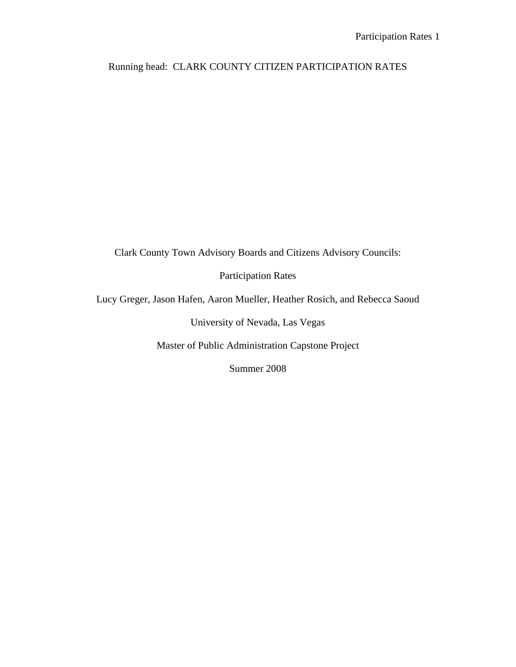# Running head: CLARK COUNTY CITIZEN PARTICIPATION RATES

Clark County Town Advisory Boards and Citizens Advisory Councils:

Participation Rates

Lucy Greger, Jason Hafen, Aaron Mueller, Heather Rosich, and Rebecca Saoud

University of Nevada, Las Vegas

Master of Public Administration Capstone Project

Summer 2008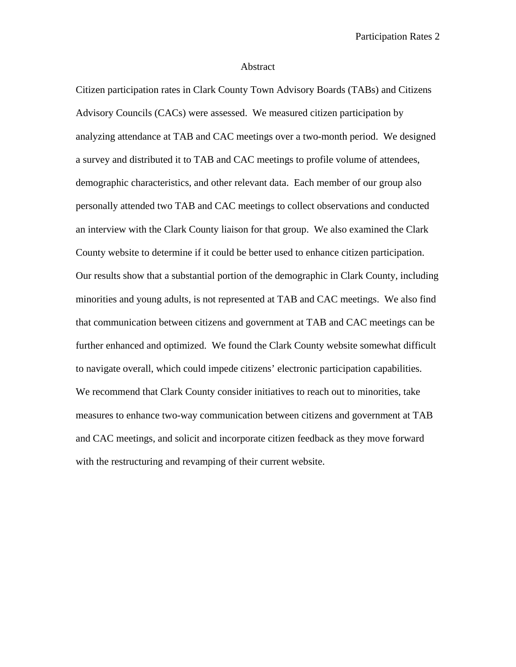#### Abstract

Citizen participation rates in Clark County Town Advisory Boards (TABs) and Citizens Advisory Councils (CACs) were assessed. We measured citizen participation by analyzing attendance at TAB and CAC meetings over a two-month period. We designed a survey and distributed it to TAB and CAC meetings to profile volume of attendees, demographic characteristics, and other relevant data. Each member of our group also personally attended two TAB and CAC meetings to collect observations and conducted an interview with the Clark County liaison for that group. We also examined the Clark County website to determine if it could be better used to enhance citizen participation. Our results show that a substantial portion of the demographic in Clark County, including minorities and young adults, is not represented at TAB and CAC meetings. We also find that communication between citizens and government at TAB and CAC meetings can be further enhanced and optimized. We found the Clark County website somewhat difficult to navigate overall, which could impede citizens' electronic participation capabilities. We recommend that Clark County consider initiatives to reach out to minorities, take measures to enhance two-way communication between citizens and government at TAB and CAC meetings, and solicit and incorporate citizen feedback as they move forward with the restructuring and revamping of their current website.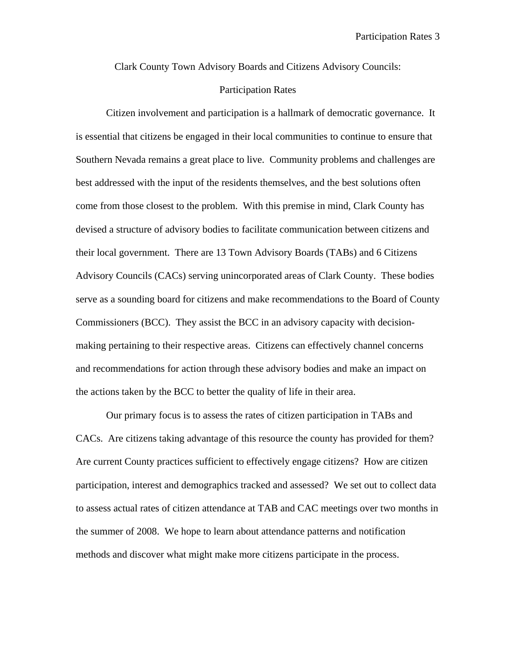Clark County Town Advisory Boards and Citizens Advisory Councils:

# Participation Rates

Citizen involvement and participation is a hallmark of democratic governance. It is essential that citizens be engaged in their local communities to continue to ensure that Southern Nevada remains a great place to live. Community problems and challenges are best addressed with the input of the residents themselves, and the best solutions often come from those closest to the problem. With this premise in mind, Clark County has devised a structure of advisory bodies to facilitate communication between citizens and their local government. There are 13 Town Advisory Boards (TABs) and 6 Citizens Advisory Councils (CACs) serving unincorporated areas of Clark County. These bodies serve as a sounding board for citizens and make recommendations to the Board of County Commissioners (BCC). They assist the BCC in an advisory capacity with decisionmaking pertaining to their respective areas. Citizens can effectively channel concerns and recommendations for action through these advisory bodies and make an impact on the actions taken by the BCC to better the quality of life in their area.

Our primary focus is to assess the rates of citizen participation in TABs and CACs. Are citizens taking advantage of this resource the county has provided for them? Are current County practices sufficient to effectively engage citizens? How are citizen participation, interest and demographics tracked and assessed? We set out to collect data to assess actual rates of citizen attendance at TAB and CAC meetings over two months in the summer of 2008. We hope to learn about attendance patterns and notification methods and discover what might make more citizens participate in the process.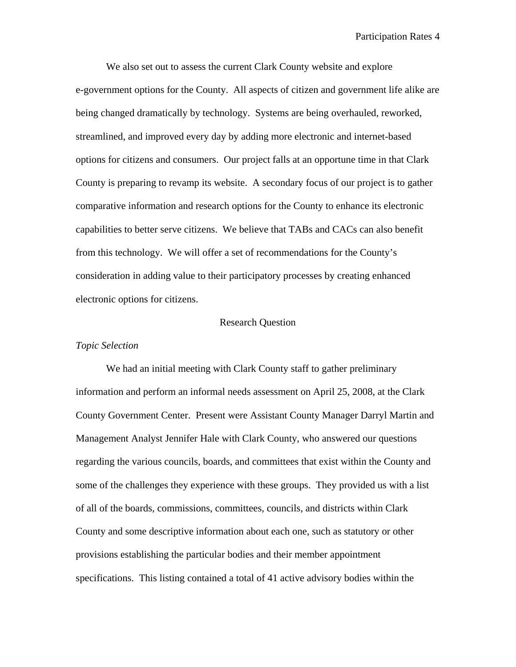We also set out to assess the current Clark County website and explore e-government options for the County. All aspects of citizen and government life alike are being changed dramatically by technology. Systems are being overhauled, reworked, streamlined, and improved every day by adding more electronic and internet-based options for citizens and consumers. Our project falls at an opportune time in that Clark County is preparing to revamp its website. A secondary focus of our project is to gather comparative information and research options for the County to enhance its electronic capabilities to better serve citizens. We believe that TABs and CACs can also benefit from this technology. We will offer a set of recommendations for the County's consideration in adding value to their participatory processes by creating enhanced electronic options for citizens.

#### Research Question

#### *Topic Selection*

We had an initial meeting with Clark County staff to gather preliminary information and perform an informal needs assessment on April 25, 2008, at the Clark County Government Center. Present were Assistant County Manager Darryl Martin and Management Analyst Jennifer Hale with Clark County, who answered our questions regarding the various councils, boards, and committees that exist within the County and some of the challenges they experience with these groups. They provided us with a list of all of the boards, commissions, committees, councils, and districts within Clark County and some descriptive information about each one, such as statutory or other provisions establishing the particular bodies and their member appointment specifications. This listing contained a total of 41 active advisory bodies within the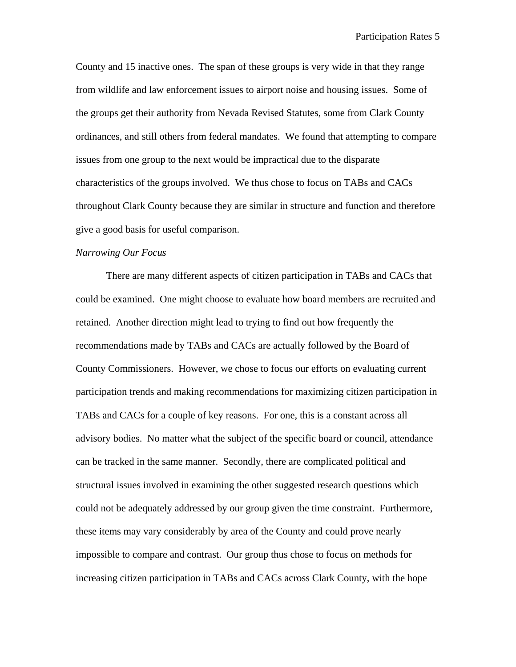County and 15 inactive ones. The span of these groups is very wide in that they range from wildlife and law enforcement issues to airport noise and housing issues. Some of the groups get their authority from Nevada Revised Statutes, some from Clark County ordinances, and still others from federal mandates. We found that attempting to compare issues from one group to the next would be impractical due to the disparate characteristics of the groups involved. We thus chose to focus on TABs and CACs throughout Clark County because they are similar in structure and function and therefore give a good basis for useful comparison.

## *Narrowing Our Focus*

There are many different aspects of citizen participation in TABs and CACs that could be examined. One might choose to evaluate how board members are recruited and retained. Another direction might lead to trying to find out how frequently the recommendations made by TABs and CACs are actually followed by the Board of County Commissioners. However, we chose to focus our efforts on evaluating current participation trends and making recommendations for maximizing citizen participation in TABs and CACs for a couple of key reasons. For one, this is a constant across all advisory bodies. No matter what the subject of the specific board or council, attendance can be tracked in the same manner. Secondly, there are complicated political and structural issues involved in examining the other suggested research questions which could not be adequately addressed by our group given the time constraint. Furthermore, these items may vary considerably by area of the County and could prove nearly impossible to compare and contrast. Our group thus chose to focus on methods for increasing citizen participation in TABs and CACs across Clark County, with the hope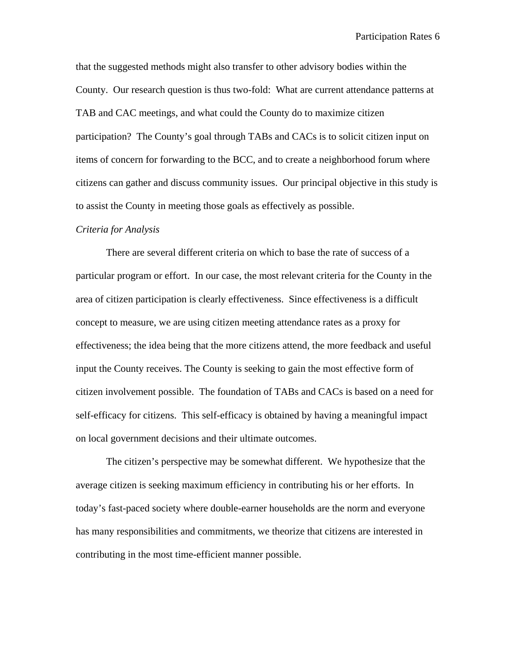that the suggested methods might also transfer to other advisory bodies within the County. Our research question is thus two-fold: What are current attendance patterns at TAB and CAC meetings, and what could the County do to maximize citizen participation? The County's goal through TABs and CACs is to solicit citizen input on items of concern for forwarding to the BCC, and to create a neighborhood forum where citizens can gather and discuss community issues. Our principal objective in this study is to assist the County in meeting those goals as effectively as possible.

#### *Criteria for Analysis*

There are several different criteria on which to base the rate of success of a particular program or effort. In our case, the most relevant criteria for the County in the area of citizen participation is clearly effectiveness. Since effectiveness is a difficult concept to measure, we are using citizen meeting attendance rates as a proxy for effectiveness; the idea being that the more citizens attend, the more feedback and useful input the County receives. The County is seeking to gain the most effective form of citizen involvement possible. The foundation of TABs and CACs is based on a need for self-efficacy for citizens. This self-efficacy is obtained by having a meaningful impact on local government decisions and their ultimate outcomes.

The citizen's perspective may be somewhat different. We hypothesize that the average citizen is seeking maximum efficiency in contributing his or her efforts. In today's fast-paced society where double-earner households are the norm and everyone has many responsibilities and commitments, we theorize that citizens are interested in contributing in the most time-efficient manner possible.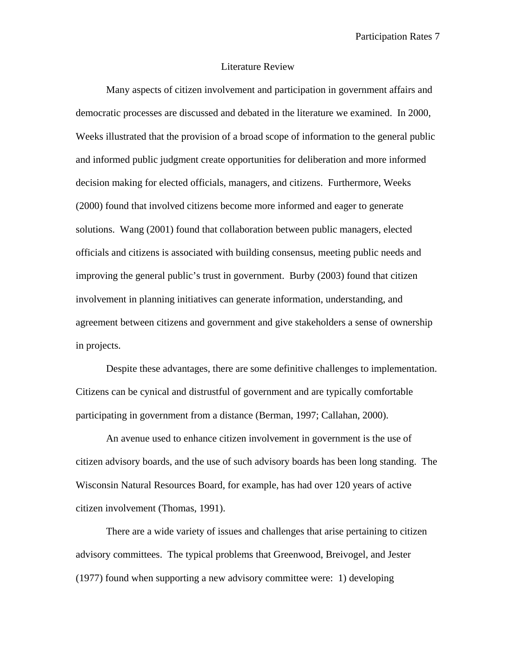#### Literature Review

Many aspects of citizen involvement and participation in government affairs and democratic processes are discussed and debated in the literature we examined. In 2000, Weeks illustrated that the provision of a broad scope of information to the general public and informed public judgment create opportunities for deliberation and more informed decision making for elected officials, managers, and citizens. Furthermore, Weeks (2000) found that involved citizens become more informed and eager to generate solutions. Wang (2001) found that collaboration between public managers, elected officials and citizens is associated with building consensus, meeting public needs and improving the general public's trust in government. Burby (2003) found that citizen involvement in planning initiatives can generate information, understanding, and agreement between citizens and government and give stakeholders a sense of ownership in projects.

Despite these advantages, there are some definitive challenges to implementation. Citizens can be cynical and distrustful of government and are typically comfortable participating in government from a distance (Berman, 1997; Callahan, 2000).

An avenue used to enhance citizen involvement in government is the use of citizen advisory boards, and the use of such advisory boards has been long standing. The Wisconsin Natural Resources Board, for example, has had over 120 years of active citizen involvement (Thomas, 1991).

There are a wide variety of issues and challenges that arise pertaining to citizen advisory committees. The typical problems that Greenwood, Breivogel, and Jester (1977) found when supporting a new advisory committee were: 1) developing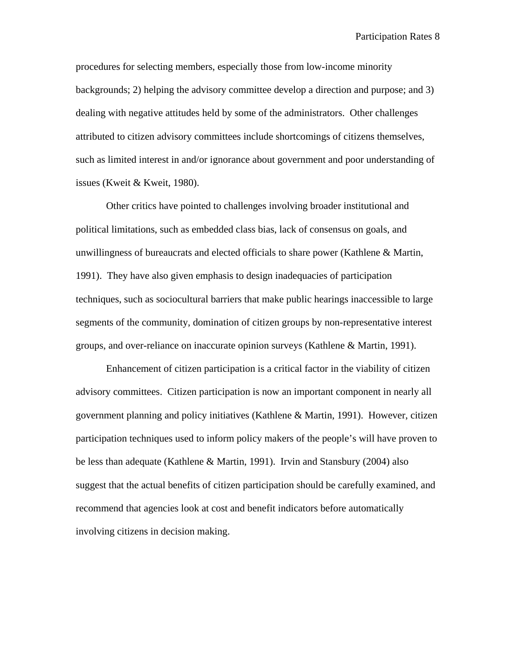procedures for selecting members, especially those from low-income minority backgrounds; 2) helping the advisory committee develop a direction and purpose; and 3) dealing with negative attitudes held by some of the administrators. Other challenges attributed to citizen advisory committees include shortcomings of citizens themselves, such as limited interest in and/or ignorance about government and poor understanding of issues (Kweit & Kweit, 1980).

Other critics have pointed to challenges involving broader institutional and political limitations, such as embedded class bias, lack of consensus on goals, and unwillingness of bureaucrats and elected officials to share power (Kathlene & Martin, 1991). They have also given emphasis to design inadequacies of participation techniques, such as sociocultural barriers that make public hearings inaccessible to large segments of the community, domination of citizen groups by non-representative interest groups, and over-reliance on inaccurate opinion surveys (Kathlene & Martin, 1991).

Enhancement of citizen participation is a critical factor in the viability of citizen advisory committees. Citizen participation is now an important component in nearly all government planning and policy initiatives (Kathlene & Martin, 1991). However, citizen participation techniques used to inform policy makers of the people's will have proven to be less than adequate (Kathlene & Martin, 1991). Irvin and Stansbury (2004) also suggest that the actual benefits of citizen participation should be carefully examined, and recommend that agencies look at cost and benefit indicators before automatically involving citizens in decision making.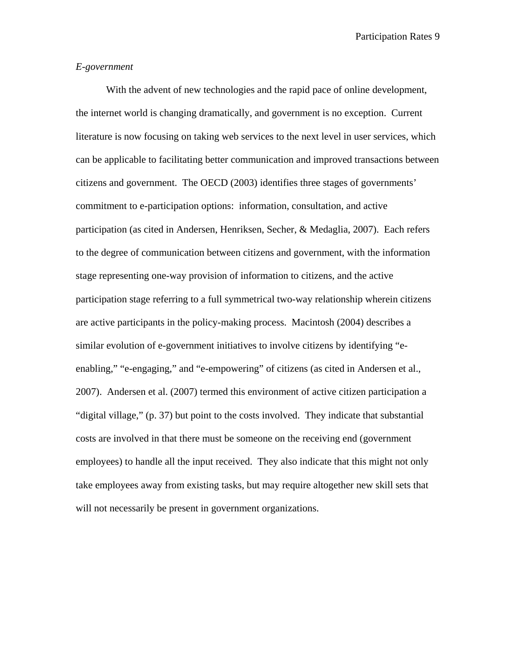# *E-government*

With the advent of new technologies and the rapid pace of online development, the internet world is changing dramatically, and government is no exception. Current literature is now focusing on taking web services to the next level in user services, which can be applicable to facilitating better communication and improved transactions between citizens and government. The OECD (2003) identifies three stages of governments' commitment to e-participation options: information, consultation, and active participation (as cited in Andersen, Henriksen, Secher, & Medaglia, 2007). Each refers to the degree of communication between citizens and government, with the information stage representing one-way provision of information to citizens, and the active participation stage referring to a full symmetrical two-way relationship wherein citizens are active participants in the policy-making process. Macintosh (2004) describes a similar evolution of e-government initiatives to involve citizens by identifying "eenabling," "e-engaging," and "e-empowering" of citizens (as cited in Andersen et al., 2007). Andersen et al. (2007) termed this environment of active citizen participation a "digital village," (p. 37) but point to the costs involved. They indicate that substantial costs are involved in that there must be someone on the receiving end (government employees) to handle all the input received. They also indicate that this might not only take employees away from existing tasks, but may require altogether new skill sets that will not necessarily be present in government organizations.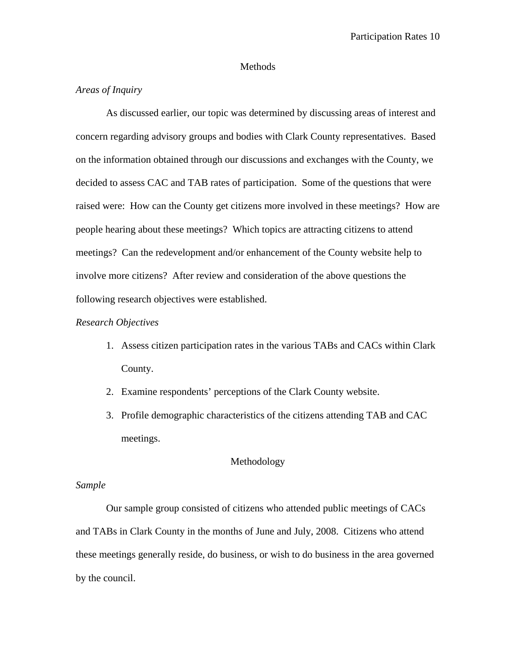#### Methods

# *Areas of Inquiry*

As discussed earlier, our topic was determined by discussing areas of interest and concern regarding advisory groups and bodies with Clark County representatives. Based on the information obtained through our discussions and exchanges with the County, we decided to assess CAC and TAB rates of participation. Some of the questions that were raised were: How can the County get citizens more involved in these meetings? How are people hearing about these meetings? Which topics are attracting citizens to attend meetings? Can the redevelopment and/or enhancement of the County website help to involve more citizens? After review and consideration of the above questions the following research objectives were established.

# *Research Objectives*

- 1. Assess citizen participation rates in the various TABs and CACs within Clark County.
- 2. Examine respondents' perceptions of the Clark County website.
- 3. Profile demographic characteristics of the citizens attending TAB and CAC meetings.

## Methodology

# *Sample*

Our sample group consisted of citizens who attended public meetings of CACs and TABs in Clark County in the months of June and July, 2008. Citizens who attend these meetings generally reside, do business, or wish to do business in the area governed by the council.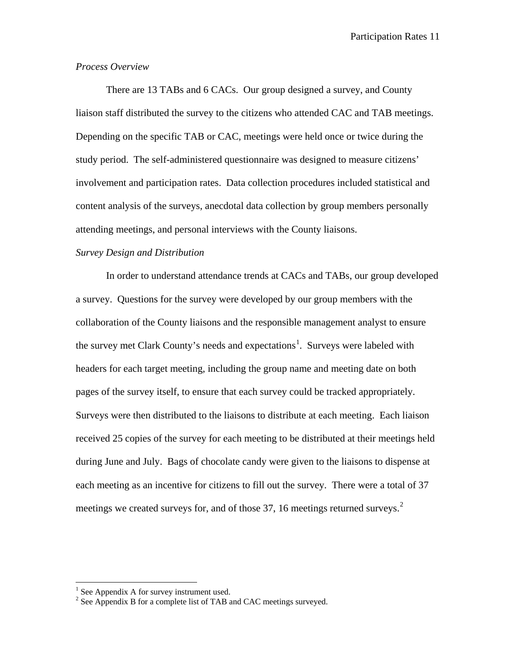# *Process Overview*

There are 13 TABs and 6 CACs. Our group designed a survey, and County liaison staff distributed the survey to the citizens who attended CAC and TAB meetings. Depending on the specific TAB or CAC, meetings were held once or twice during the study period. The self-administered questionnaire was designed to measure citizens' involvement and participation rates. Data collection procedures included statistical and content analysis of the surveys, anecdotal data collection by group members personally attending meetings, and personal interviews with the County liaisons.

# *Survey Design and Distribution*

In order to understand attendance trends at CACs and TABs, our group developed a survey. Questions for the survey were developed by our group members with the collaboration of the County liaisons and the responsible management analyst to ensure the survey met Clark County's needs and expectations<sup>[1](#page-11-0)</sup>. Surveys were labeled with headers for each target meeting, including the group name and meeting date on both pages of the survey itself, to ensure that each survey could be tracked appropriately. Surveys were then distributed to the liaisons to distribute at each meeting. Each liaison received 25 copies of the survey for each meeting to be distributed at their meetings held during June and July. Bags of chocolate candy were given to the liaisons to dispense at each meeting as an incentive for citizens to fill out the survey. There were a total of 37 meetings we created surveys for, and of those 37, 16 meetings returned surveys.<sup>[2](#page-11-1)</sup>

 $<sup>1</sup>$  See Appendix A for survey instrument used.</sup>

<span id="page-11-1"></span><span id="page-11-0"></span><sup>&</sup>lt;sup>2</sup> See Appendix B for a complete list of TAB and CAC meetings surveyed.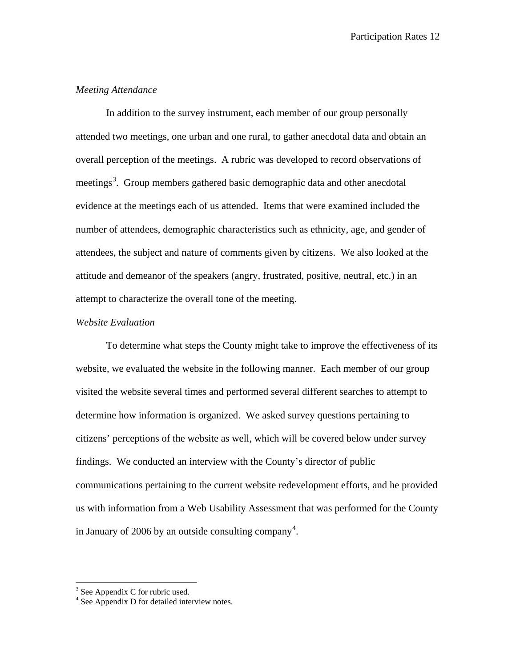# *Meeting Attendance*

In addition to the survey instrument, each member of our group personally attended two meetings, one urban and one rural, to gather anecdotal data and obtain an overall perception of the meetings. A rubric was developed to record observations of meetings<sup>[3](#page-12-0)</sup>. Group members gathered basic demographic data and other anecdotal evidence at the meetings each of us attended. Items that were examined included the number of attendees, demographic characteristics such as ethnicity, age, and gender of attendees, the subject and nature of comments given by citizens. We also looked at the attitude and demeanor of the speakers (angry, frustrated, positive, neutral, etc.) in an attempt to characterize the overall tone of the meeting.

# *Website Evaluation*

To determine what steps the County might take to improve the effectiveness of its website, we evaluated the website in the following manner. Each member of our group visited the website several times and performed several different searches to attempt to determine how information is organized. We asked survey questions pertaining to citizens' perceptions of the website as well, which will be covered below under survey findings. We conducted an interview with the County's director of public communications pertaining to the current website redevelopment efforts, and he provided us with information from a Web Usability Assessment that was performed for the County in January of 2006 by an outside consulting company<sup>[4](#page-12-1)</sup>.

<sup>&</sup>lt;sup>3</sup> See Appendix C for rubric used.

<span id="page-12-1"></span><span id="page-12-0"></span><sup>&</sup>lt;sup>4</sup> See Appendix D for detailed interview notes.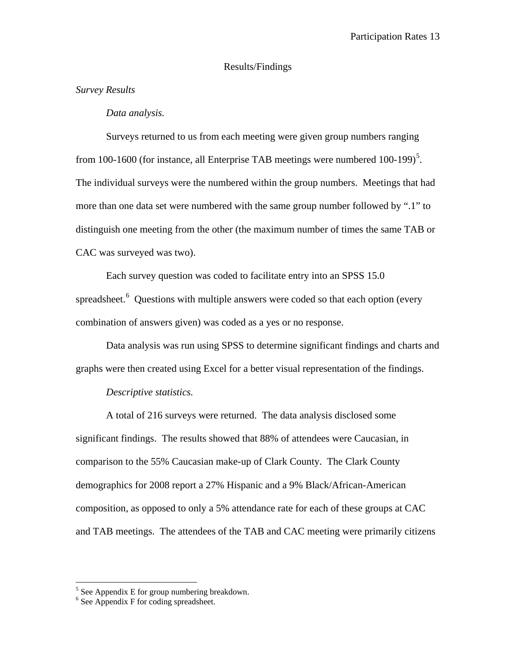# Results/Findings

# *Survey Results*

#### *Data analysis.*

Surveys returned to us from each meeting were given group numbers ranging from 100-1600 (for instance, all Enterprise TAB meetings were numbered  $100-199$ )<sup>[5](#page-13-0)</sup>. The individual surveys were the numbered within the group numbers. Meetings that had more than one data set were numbered with the same group number followed by ".1" to distinguish one meeting from the other (the maximum number of times the same TAB or CAC was surveyed was two).

Each survey question was coded to facilitate entry into an SPSS 15.0 spreadsheet.<sup>[6](#page-13-1)</sup> Questions with multiple answers were coded so that each option (every combination of answers given) was coded as a yes or no response.

Data analysis was run using SPSS to determine significant findings and charts and graphs were then created using Excel for a better visual representation of the findings.

# *Descriptive statistics.*

A total of 216 surveys were returned. The data analysis disclosed some significant findings. The results showed that 88% of attendees were Caucasian, in comparison to the 55% Caucasian make-up of Clark County. The Clark County demographics for 2008 report a 27% Hispanic and a 9% Black/African-American composition, as opposed to only a 5% attendance rate for each of these groups at CAC and TAB meetings. The attendees of the TAB and CAC meeting were primarily citizens

 $<sup>5</sup>$  See Appendix E for group numbering breakdown.</sup>

<span id="page-13-1"></span><span id="page-13-0"></span><sup>&</sup>lt;sup>6</sup> See Appendix F for coding spreadsheet.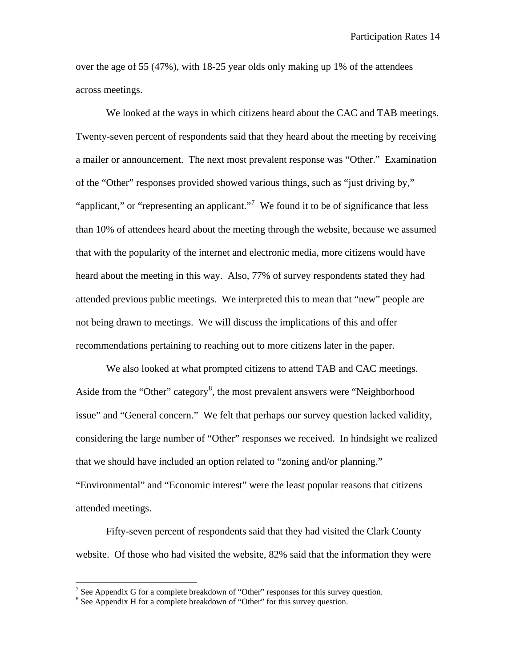over the age of 55 (47%), with 18-25 year olds only making up 1% of the attendees across meetings.

We looked at the ways in which citizens heard about the CAC and TAB meetings. Twenty-seven percent of respondents said that they heard about the meeting by receiving a mailer or announcement. The next most prevalent response was "Other." Examination of the "Other" responses provided showed various things, such as "just driving by," "applicant," or "representing an applicant."<sup>[7](#page-14-0)</sup> We found it to be of significance that less than 10% of attendees heard about the meeting through the website, because we assumed that with the popularity of the internet and electronic media, more citizens would have heard about the meeting in this way. Also, 77% of survey respondents stated they had attended previous public meetings. We interpreted this to mean that "new" people are not being drawn to meetings. We will discuss the implications of this and offer recommendations pertaining to reaching out to more citizens later in the paper.

We also looked at what prompted citizens to attend TAB and CAC meetings. Aside from the "Other" category<sup>[8](#page-14-1)</sup>, the most prevalent answers were "Neighborhood issue" and "General concern." We felt that perhaps our survey question lacked validity, considering the large number of "Other" responses we received. In hindsight we realized that we should have included an option related to "zoning and/or planning." "Environmental" and "Economic interest" were the least popular reasons that citizens attended meetings.

Fifty-seven percent of respondents said that they had visited the Clark County website. Of those who had visited the website, 82% said that the information they were

<span id="page-14-0"></span> $7$  See Appendix G for a complete breakdown of "Other" responses for this survey question.

<span id="page-14-1"></span><sup>&</sup>lt;sup>8</sup> See Appendix H for a complete breakdown of "Other" for this survey question.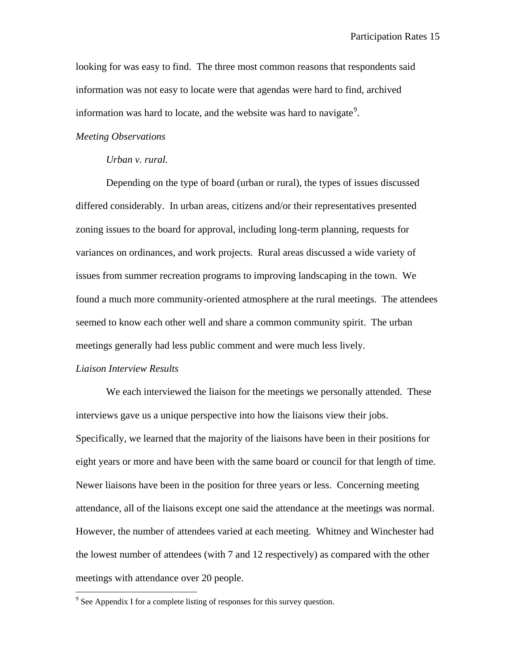looking for was easy to find. The three most common reasons that respondents said information was not easy to locate were that agendas were hard to find, archived information was hard to locate, and the website was hard to navigate<sup>[9](#page-15-0)</sup>.

#### *Meeting Observations*

#### *Urban v. rural.*

Depending on the type of board (urban or rural), the types of issues discussed differed considerably. In urban areas, citizens and/or their representatives presented zoning issues to the board for approval, including long-term planning, requests for variances on ordinances, and work projects. Rural areas discussed a wide variety of issues from summer recreation programs to improving landscaping in the town. We found a much more community-oriented atmosphere at the rural meetings. The attendees seemed to know each other well and share a common community spirit. The urban meetings generally had less public comment and were much less lively.

# *Liaison Interview Results*

We each interviewed the liaison for the meetings we personally attended. These interviews gave us a unique perspective into how the liaisons view their jobs. Specifically, we learned that the majority of the liaisons have been in their positions for eight years or more and have been with the same board or council for that length of time. Newer liaisons have been in the position for three years or less. Concerning meeting attendance, all of the liaisons except one said the attendance at the meetings was normal. However, the number of attendees varied at each meeting. Whitney and Winchester had the lowest number of attendees (with 7 and 12 respectively) as compared with the other meetings with attendance over 20 people.

<span id="page-15-0"></span><sup>&</sup>lt;sup>9</sup> See Appendix I for a complete listing of responses for this survey question.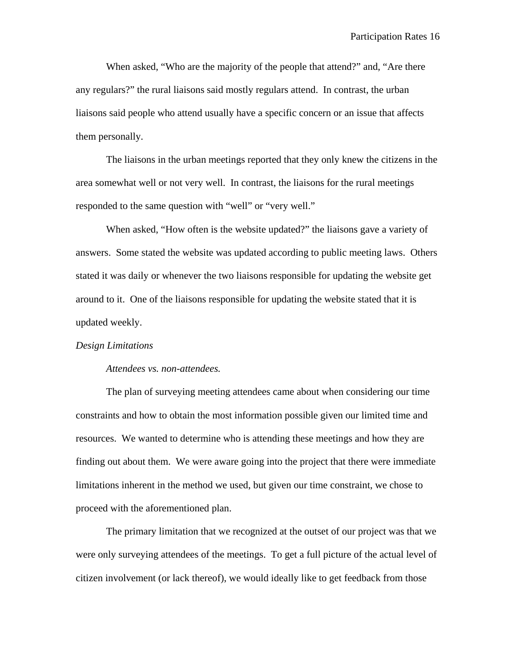When asked, "Who are the majority of the people that attend?" and, "Are there any regulars?" the rural liaisons said mostly regulars attend. In contrast, the urban liaisons said people who attend usually have a specific concern or an issue that affects them personally.

The liaisons in the urban meetings reported that they only knew the citizens in the area somewhat well or not very well. In contrast, the liaisons for the rural meetings responded to the same question with "well" or "very well."

When asked, "How often is the website updated?" the liaisons gave a variety of answers. Some stated the website was updated according to public meeting laws. Others stated it was daily or whenever the two liaisons responsible for updating the website get around to it. One of the liaisons responsible for updating the website stated that it is updated weekly.

#### *Design Limitations*

#### *Attendees vs. non-attendees.*

The plan of surveying meeting attendees came about when considering our time constraints and how to obtain the most information possible given our limited time and resources. We wanted to determine who is attending these meetings and how they are finding out about them. We were aware going into the project that there were immediate limitations inherent in the method we used, but given our time constraint, we chose to proceed with the aforementioned plan.

The primary limitation that we recognized at the outset of our project was that we were only surveying attendees of the meetings. To get a full picture of the actual level of citizen involvement (or lack thereof), we would ideally like to get feedback from those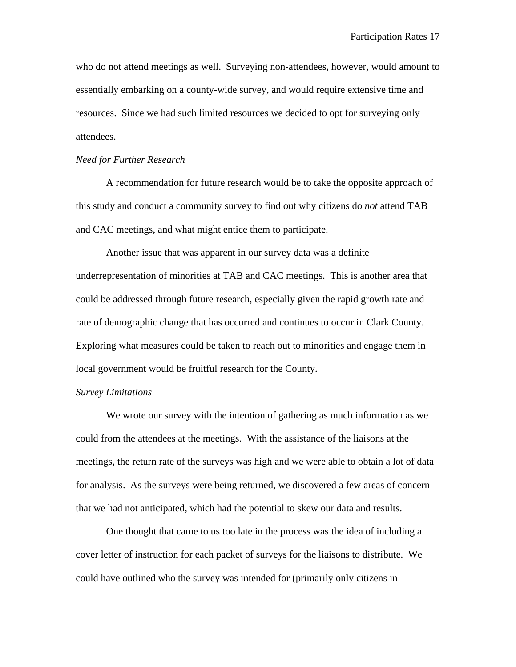who do not attend meetings as well. Surveying non-attendees, however, would amount to essentially embarking on a county-wide survey, and would require extensive time and resources. Since we had such limited resources we decided to opt for surveying only attendees.

#### *Need for Further Research*

A recommendation for future research would be to take the opposite approach of this study and conduct a community survey to find out why citizens do *not* attend TAB and CAC meetings, and what might entice them to participate.

Another issue that was apparent in our survey data was a definite underrepresentation of minorities at TAB and CAC meetings. This is another area that could be addressed through future research, especially given the rapid growth rate and rate of demographic change that has occurred and continues to occur in Clark County. Exploring what measures could be taken to reach out to minorities and engage them in local government would be fruitful research for the County.

#### *Survey Limitations*

We wrote our survey with the intention of gathering as much information as we could from the attendees at the meetings. With the assistance of the liaisons at the meetings, the return rate of the surveys was high and we were able to obtain a lot of data for analysis. As the surveys were being returned, we discovered a few areas of concern that we had not anticipated, which had the potential to skew our data and results.

One thought that came to us too late in the process was the idea of including a cover letter of instruction for each packet of surveys for the liaisons to distribute. We could have outlined who the survey was intended for (primarily only citizens in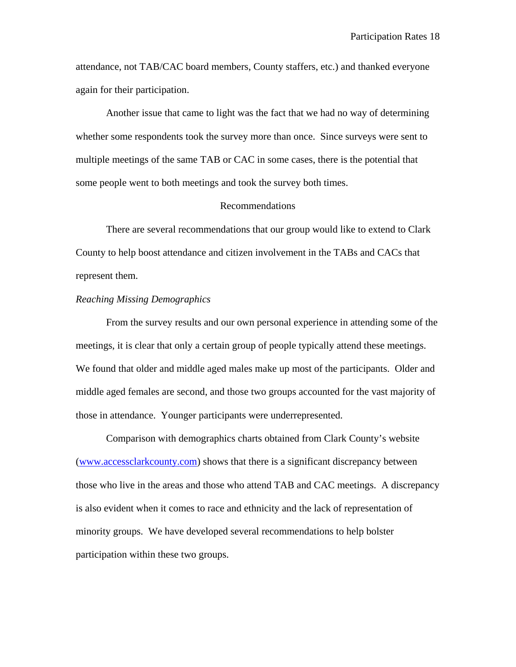attendance, not TAB/CAC board members, County staffers, etc.) and thanked everyone again for their participation.

Another issue that came to light was the fact that we had no way of determining whether some respondents took the survey more than once. Since surveys were sent to multiple meetings of the same TAB or CAC in some cases, there is the potential that some people went to both meetings and took the survey both times.

#### Recommendations

There are several recommendations that our group would like to extend to Clark County to help boost attendance and citizen involvement in the TABs and CACs that represent them.

# *Reaching Missing Demographics*

From the survey results and our own personal experience in attending some of the meetings, it is clear that only a certain group of people typically attend these meetings. We found that older and middle aged males make up most of the participants. Older and middle aged females are second, and those two groups accounted for the vast majority of those in attendance. Younger participants were underrepresented.

Comparison with demographics charts obtained from Clark County's website [\(www.accessclarkcounty.com\)](http://www.accessclarkcounty.com/) shows that there is a significant discrepancy between those who live in the areas and those who attend TAB and CAC meetings. A discrepancy is also evident when it comes to race and ethnicity and the lack of representation of minority groups. We have developed several recommendations to help bolster participation within these two groups.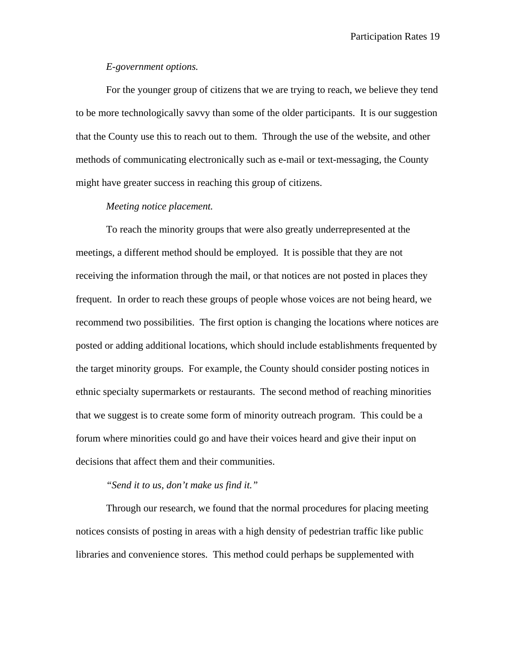# *E-government options.*

For the younger group of citizens that we are trying to reach, we believe they tend to be more technologically savvy than some of the older participants. It is our suggestion that the County use this to reach out to them. Through the use of the website, and other methods of communicating electronically such as e-mail or text-messaging, the County might have greater success in reaching this group of citizens.

# *Meeting notice placement.*

To reach the minority groups that were also greatly underrepresented at the meetings, a different method should be employed. It is possible that they are not receiving the information through the mail, or that notices are not posted in places they frequent. In order to reach these groups of people whose voices are not being heard, we recommend two possibilities. The first option is changing the locations where notices are posted or adding additional locations, which should include establishments frequented by the target minority groups. For example, the County should consider posting notices in ethnic specialty supermarkets or restaurants. The second method of reaching minorities that we suggest is to create some form of minority outreach program. This could be a forum where minorities could go and have their voices heard and give their input on decisions that affect them and their communities.

# *"Send it to us, don't make us find it."*

Through our research, we found that the normal procedures for placing meeting notices consists of posting in areas with a high density of pedestrian traffic like public libraries and convenience stores. This method could perhaps be supplemented with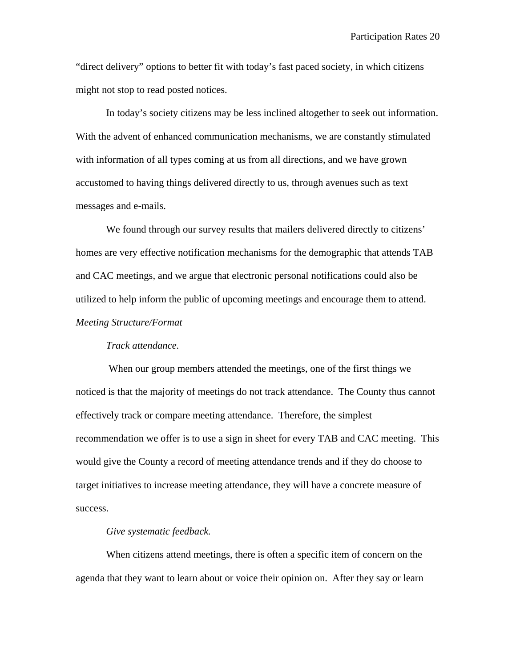"direct delivery" options to better fit with today's fast paced society, in which citizens might not stop to read posted notices.

In today's society citizens may be less inclined altogether to seek out information. With the advent of enhanced communication mechanisms, we are constantly stimulated with information of all types coming at us from all directions, and we have grown accustomed to having things delivered directly to us, through avenues such as text messages and e-mails.

We found through our survey results that mailers delivered directly to citizens' homes are very effective notification mechanisms for the demographic that attends TAB and CAC meetings, and we argue that electronic personal notifications could also be utilized to help inform the public of upcoming meetings and encourage them to attend. *Meeting Structure/Format*

#### *Track attendance.*

When our group members attended the meetings, one of the first things we noticed is that the majority of meetings do not track attendance. The County thus cannot effectively track or compare meeting attendance. Therefore, the simplest recommendation we offer is to use a sign in sheet for every TAB and CAC meeting. This would give the County a record of meeting attendance trends and if they do choose to target initiatives to increase meeting attendance, they will have a concrete measure of success.

#### *Give systematic feedback.*

When citizens attend meetings, there is often a specific item of concern on the agenda that they want to learn about or voice their opinion on. After they say or learn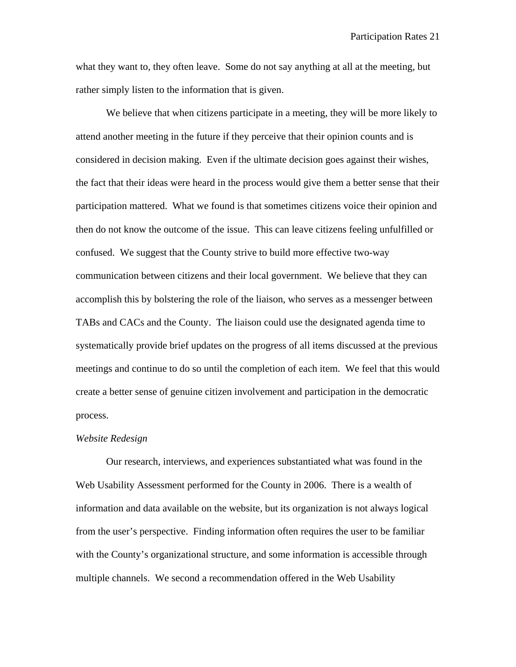what they want to, they often leave. Some do not say anything at all at the meeting, but rather simply listen to the information that is given.

We believe that when citizens participate in a meeting, they will be more likely to attend another meeting in the future if they perceive that their opinion counts and is considered in decision making. Even if the ultimate decision goes against their wishes, the fact that their ideas were heard in the process would give them a better sense that their participation mattered. What we found is that sometimes citizens voice their opinion and then do not know the outcome of the issue. This can leave citizens feeling unfulfilled or confused. We suggest that the County strive to build more effective two-way communication between citizens and their local government. We believe that they can accomplish this by bolstering the role of the liaison, who serves as a messenger between TABs and CACs and the County. The liaison could use the designated agenda time to systematically provide brief updates on the progress of all items discussed at the previous meetings and continue to do so until the completion of each item. We feel that this would create a better sense of genuine citizen involvement and participation in the democratic process.

#### *Website Redesign*

Our research, interviews, and experiences substantiated what was found in the Web Usability Assessment performed for the County in 2006. There is a wealth of information and data available on the website, but its organization is not always logical from the user's perspective. Finding information often requires the user to be familiar with the County's organizational structure, and some information is accessible through multiple channels. We second a recommendation offered in the Web Usability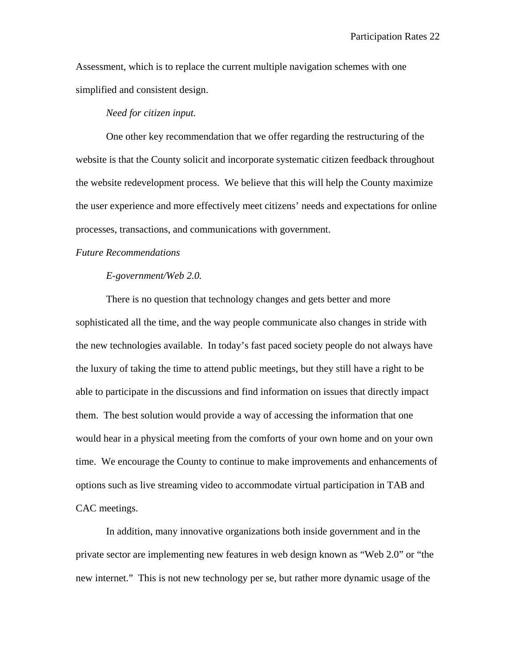Assessment, which is to replace the current multiple navigation schemes with one simplified and consistent design.

#### *Need for citizen input.*

One other key recommendation that we offer regarding the restructuring of the website is that the County solicit and incorporate systematic citizen feedback throughout the website redevelopment process. We believe that this will help the County maximize the user experience and more effectively meet citizens' needs and expectations for online processes, transactions, and communications with government.

#### *Future Recommendations*

#### *E-government/Web 2.0.*

There is no question that technology changes and gets better and more sophisticated all the time, and the way people communicate also changes in stride with the new technologies available. In today's fast paced society people do not always have the luxury of taking the time to attend public meetings, but they still have a right to be able to participate in the discussions and find information on issues that directly impact them. The best solution would provide a way of accessing the information that one would hear in a physical meeting from the comforts of your own home and on your own time. We encourage the County to continue to make improvements and enhancements of options such as live streaming video to accommodate virtual participation in TAB and CAC meetings.

In addition, many innovative organizations both inside government and in the private sector are implementing new features in web design known as "Web 2.0" or "the new internet." This is not new technology per se, but rather more dynamic usage of the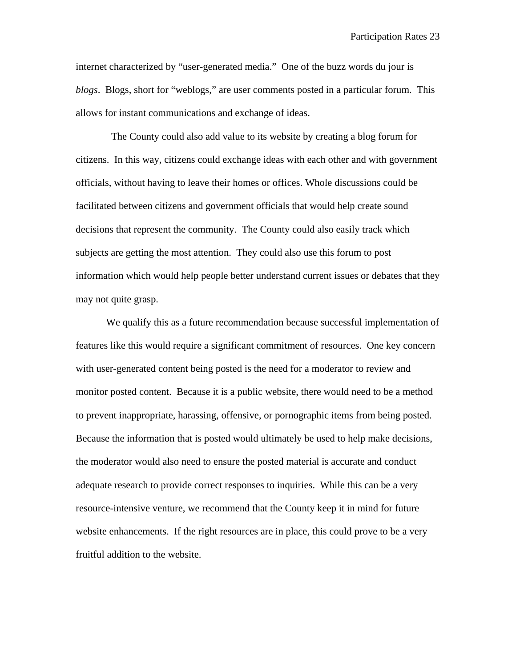internet characterized by "user-generated media." One of the buzz words du jour is *blogs*. Blogs, short for "weblogs," are user comments posted in a particular forum. This allows for instant communications and exchange of ideas.

 The County could also add value to its website by creating a blog forum for citizens. In this way, citizens could exchange ideas with each other and with government officials, without having to leave their homes or offices. Whole discussions could be facilitated between citizens and government officials that would help create sound decisions that represent the community. The County could also easily track which subjects are getting the most attention. They could also use this forum to post information which would help people better understand current issues or debates that they may not quite grasp.

We qualify this as a future recommendation because successful implementation of features like this would require a significant commitment of resources. One key concern with user-generated content being posted is the need for a moderator to review and monitor posted content. Because it is a public website, there would need to be a method to prevent inappropriate, harassing, offensive, or pornographic items from being posted. Because the information that is posted would ultimately be used to help make decisions, the moderator would also need to ensure the posted material is accurate and conduct adequate research to provide correct responses to inquiries. While this can be a very resource-intensive venture, we recommend that the County keep it in mind for future website enhancements. If the right resources are in place, this could prove to be a very fruitful addition to the website.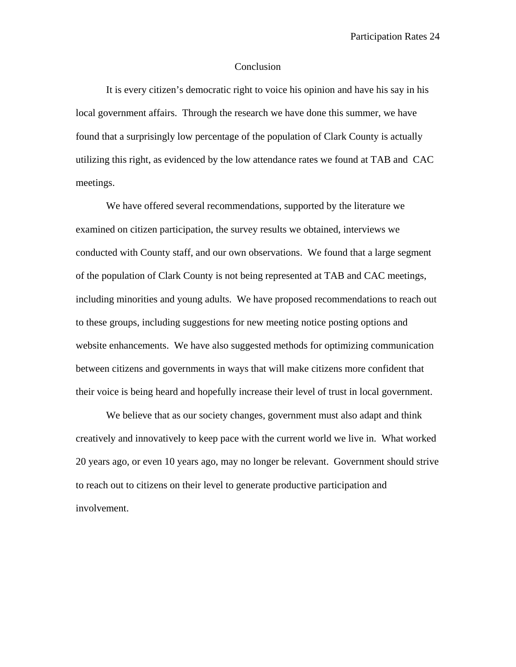#### Conclusion

It is every citizen's democratic right to voice his opinion and have his say in his local government affairs. Through the research we have done this summer, we have found that a surprisingly low percentage of the population of Clark County is actually utilizing this right, as evidenced by the low attendance rates we found at TAB and CAC meetings.

We have offered several recommendations, supported by the literature we examined on citizen participation, the survey results we obtained, interviews we conducted with County staff, and our own observations. We found that a large segment of the population of Clark County is not being represented at TAB and CAC meetings, including minorities and young adults. We have proposed recommendations to reach out to these groups, including suggestions for new meeting notice posting options and website enhancements. We have also suggested methods for optimizing communication between citizens and governments in ways that will make citizens more confident that their voice is being heard and hopefully increase their level of trust in local government.

We believe that as our society changes, government must also adapt and think creatively and innovatively to keep pace with the current world we live in. What worked 20 years ago, or even 10 years ago, may no longer be relevant. Government should strive to reach out to citizens on their level to generate productive participation and involvement.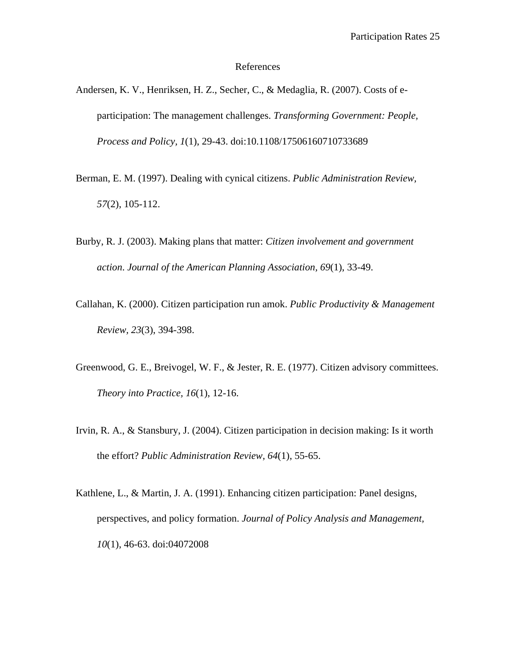#### References

- Andersen, K. V., Henriksen, H. Z., Secher, C., & Medaglia, R. (2007). Costs of eparticipation: The management challenges. *Transforming Government: People, Process and Policy, 1*(1), 29-43. doi:10.1108/17506160710733689
- Berman, E. M. (1997). Dealing with cynical citizens. *Public Administration Review, 57*(2), 105-112.
- Burby, R. J. (2003). Making plans that matter: *Citizen involvement and government action*. *Journal of the American Planning Association, 69*(1), 33-49.
- Callahan, K. (2000). Citizen participation run amok. *Public Productivity & Management Review, 23*(3), 394-398.
- Greenwood, G. E., Breivogel, W. F., & Jester, R. E. (1977). Citizen advisory committees. *Theory into Practice, 16*(1), 12-16.
- Irvin, R. A., & Stansbury, J. (2004). Citizen participation in decision making: Is it worth the effort? *Public Administration Review, 64*(1), 55-65.
- Kathlene, L., & Martin, J. A. (1991). Enhancing citizen participation: Panel designs, perspectives, and policy formation. *Journal of Policy Analysis and Management, 10*(1), 46-63. doi:04072008